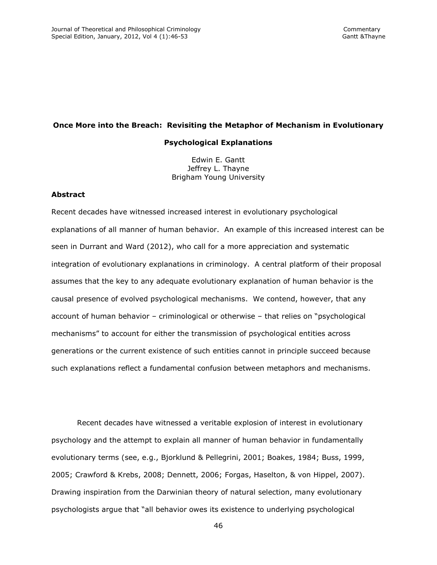# **Once More into the Breach: Revisiting the Metaphor of Mechanism in Evolutionary**

### **Psychological Explanations**

Edwin E. Gantt Jeffrey L. Thayne Brigham Young University

### **Abstract**

Recent decades have witnessed increased interest in evolutionary psychological explanations of all manner of human behavior. An example of this increased interest can be seen in Durrant and Ward (2012), who call for a more appreciation and systematic integration of evolutionary explanations in criminology. A central platform of their proposal assumes that the key to any adequate evolutionary explanation of human behavior is the causal presence of evolved psychological mechanisms. We contend, however, that any account of human behavior – criminological or otherwise – that relies on "psychological mechanisms" to account for either the transmission of psychological entities across generations or the current existence of such entities cannot in principle succeed because such explanations reflect a fundamental confusion between metaphors and mechanisms.

Recent decades have witnessed a veritable explosion of interest in evolutionary psychology and the attempt to explain all manner of human behavior in fundamentally evolutionary terms (see, e.g., Bjorklund & Pellegrini, 2001; Boakes, 1984; Buss, 1999, 2005; Crawford & Krebs, 2008; Dennett, 2006; Forgas, Haselton, & von Hippel, 2007). Drawing inspiration from the Darwinian theory of natural selection, many evolutionary psychologists argue that "all behavior owes its existence to underlying psychological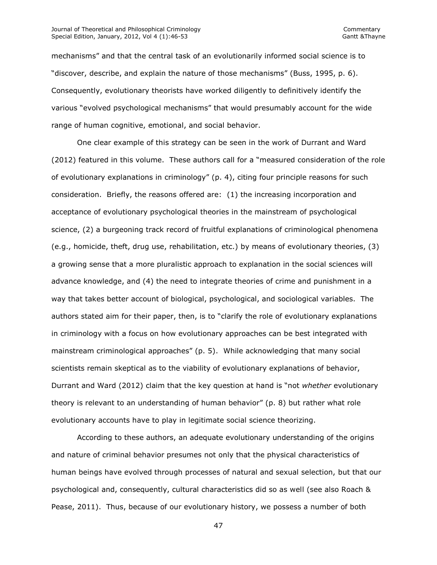mechanisms" and that the central task of an evolutionarily informed social science is to "discover, describe, and explain the nature of those mechanisms" (Buss, 1995, p. 6). Consequently, evolutionary theorists have worked diligently to definitively identify the various "evolved psychological mechanisms" that would presumably account for the wide range of human cognitive, emotional, and social behavior.

One clear example of this strategy can be seen in the work of Durrant and Ward (2012) featured in this volume. These authors call for a "measured consideration of the role of evolutionary explanations in criminology" (p. 4), citing four principle reasons for such consideration. Briefly, the reasons offered are: (1) the increasing incorporation and acceptance of evolutionary psychological theories in the mainstream of psychological science, (2) a burgeoning track record of fruitful explanations of criminological phenomena (e.g., homicide, theft, drug use, rehabilitation, etc.) by means of evolutionary theories, (3) a growing sense that a more pluralistic approach to explanation in the social sciences will advance knowledge, and (4) the need to integrate theories of crime and punishment in a way that takes better account of biological, psychological, and sociological variables. The authors stated aim for their paper, then, is to "clarify the role of evolutionary explanations in criminology with a focus on how evolutionary approaches can be best integrated with mainstream criminological approaches" (p. 5). While acknowledging that many social scientists remain skeptical as to the viability of evolutionary explanations of behavior, Durrant and Ward (2012) claim that the key question at hand is "not *whether* evolutionary theory is relevant to an understanding of human behavior" (p. 8) but rather what role evolutionary accounts have to play in legitimate social science theorizing.

According to these authors, an adequate evolutionary understanding of the origins and nature of criminal behavior presumes not only that the physical characteristics of human beings have evolved through processes of natural and sexual selection, but that our psychological and, consequently, cultural characteristics did so as well (see also Roach & Pease, 2011). Thus, because of our evolutionary history, we possess a number of both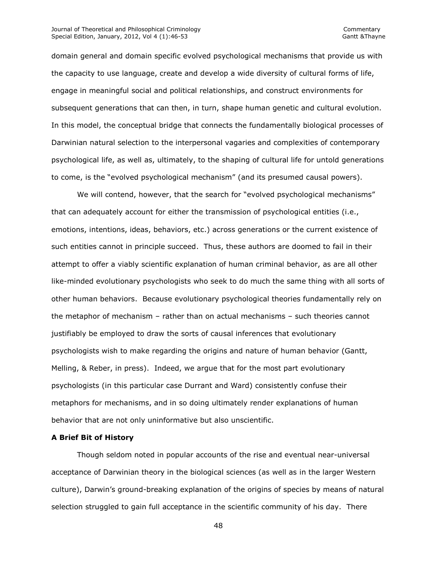domain general and domain specific evolved psychological mechanisms that provide us with the capacity to use language, create and develop a wide diversity of cultural forms of life, engage in meaningful social and political relationships, and construct environments for subsequent generations that can then, in turn, shape human genetic and cultural evolution. In this model, the conceptual bridge that connects the fundamentally biological processes of Darwinian natural selection to the interpersonal vagaries and complexities of contemporary psychological life, as well as, ultimately, to the shaping of cultural life for untold generations to come, is the "evolved psychological mechanism" (and its presumed causal powers).

We will contend, however, that the search for "evolved psychological mechanisms" that can adequately account for either the transmission of psychological entities (i.e., emotions, intentions, ideas, behaviors, etc.) across generations or the current existence of such entities cannot in principle succeed. Thus, these authors are doomed to fail in their attempt to offer a viably scientific explanation of human criminal behavior, as are all other like-minded evolutionary psychologists who seek to do much the same thing with all sorts of other human behaviors. Because evolutionary psychological theories fundamentally rely on the metaphor of mechanism – rather than on actual mechanisms – such theories cannot justifiably be employed to draw the sorts of causal inferences that evolutionary psychologists wish to make regarding the origins and nature of human behavior (Gantt, Melling, & Reber, in press). Indeed, we argue that for the most part evolutionary psychologists (in this particular case Durrant and Ward) consistently confuse their metaphors for mechanisms, and in so doing ultimately render explanations of human behavior that are not only uninformative but also unscientific.

## **A Brief Bit of History**

Though seldom noted in popular accounts of the rise and eventual near-universal acceptance of Darwinian theory in the biological sciences (as well as in the larger Western culture), Darwin's ground-breaking explanation of the origins of species by means of natural selection struggled to gain full acceptance in the scientific community of his day. There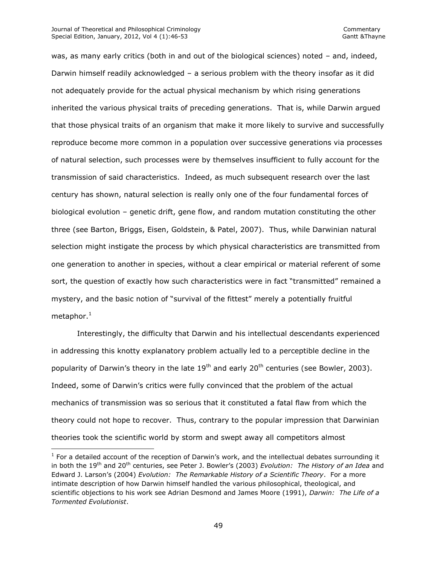$\overline{\phantom{a}}$ 

was, as many early critics (both in and out of the biological sciences) noted – and, indeed, Darwin himself readily acknowledged – a serious problem with the theory insofar as it did not adequately provide for the actual physical mechanism by which rising generations inherited the various physical traits of preceding generations. That is, while Darwin argued that those physical traits of an organism that make it more likely to survive and successfully reproduce become more common in a population over successive generations via processes of natural selection, such processes were by themselves insufficient to fully account for the transmission of said characteristics. Indeed, as much subsequent research over the last century has shown, natural selection is really only one of the four fundamental forces of biological evolution – genetic drift, gene flow, and random mutation constituting the other three (see Barton, Briggs, Eisen, Goldstein, & Patel, 2007). Thus, while Darwinian natural selection might instigate the process by which physical characteristics are transmitted from one generation to another in species, without a clear empirical or material referent of some sort, the question of exactly how such characteristics were in fact "transmitted" remained a mystery, and the basic notion of "survival of the fittest" merely a potentially fruitful metaphor. $1$ 

Interestingly, the difficulty that Darwin and his intellectual descendants experienced in addressing this knotty explanatory problem actually led to a perceptible decline in the popularity of Darwin's theory in the late 19<sup>th</sup> and early 20<sup>th</sup> centuries (see Bowler, 2003). Indeed, some of Darwin's critics were fully convinced that the problem of the actual mechanics of transmission was so serious that it constituted a fatal flaw from which the theory could not hope to recover. Thus, contrary to the popular impression that Darwinian theories took the scientific world by storm and swept away all competitors almost

 $<sup>1</sup>$  For a detailed account of the reception of Darwin's work, and the intellectual debates surrounding it</sup> in both the 19th and 20th centuries, see Peter J. Bowler's (2003) *Evolution: The History of an Idea* and Edward J. Larson's (2004) *Evolution: The Remarkable History of a Scientific Theory*. For a more intimate description of how Darwin himself handled the various philosophical, theological, and scientific objections to his work see Adrian Desmond and James Moore (1991), *Darwin: The Life of a Tormented Evolutionist*.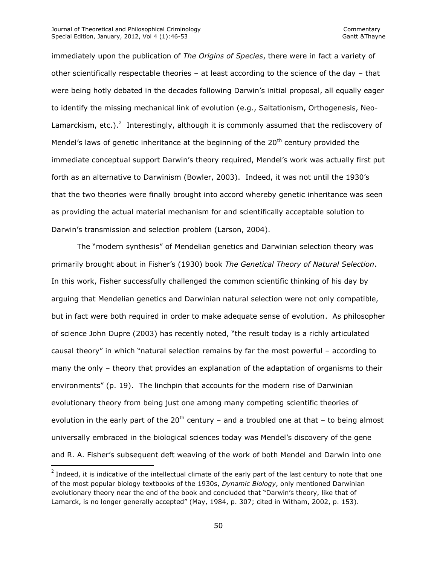$\overline{\phantom{a}}$ 

immediately upon the publication of *The Origins of Species*, there were in fact a variety of other scientifically respectable theories – at least according to the science of the day – that were being hotly debated in the decades following Darwin's initial proposal, all equally eager to identify the missing mechanical link of evolution (e.g., Saltationism, Orthogenesis, Neo-Lamarckism, etc.).<sup>2</sup> Interestingly, although it is commonly assumed that the rediscovery of Mendel's laws of genetic inheritance at the beginning of the  $20<sup>th</sup>$  century provided the immediate conceptual support Darwin's theory required, Mendel's work was actually first put forth as an alternative to Darwinism (Bowler, 2003). Indeed, it was not until the 1930's that the two theories were finally brought into accord whereby genetic inheritance was seen as providing the actual material mechanism for and scientifically acceptable solution to Darwin's transmission and selection problem (Larson, 2004).

The "modern synthesis" of Mendelian genetics and Darwinian selection theory was primarily brought about in Fisher's (1930) book *The Genetical Theory of Natural Selection*. In this work, Fisher successfully challenged the common scientific thinking of his day by arguing that Mendelian genetics and Darwinian natural selection were not only compatible, but in fact were both required in order to make adequate sense of evolution. As philosopher of science John Dupre (2003) has recently noted, "the result today is a richly articulated causal theory" in which "natural selection remains by far the most powerful – according to many the only – theory that provides an explanation of the adaptation of organisms to their environments" (p. 19). The linchpin that accounts for the modern rise of Darwinian evolutionary theory from being just one among many competing scientific theories of evolution in the early part of the  $20<sup>th</sup>$  century – and a troubled one at that – to being almost universally embraced in the biological sciences today was Mendel's discovery of the gene and R. A. Fisher's subsequent deft weaving of the work of both Mendel and Darwin into one

 $^2$  Indeed, it is indicative of the intellectual climate of the early part of the last century to note that one of the most popular biology textbooks of the 1930s, *Dynamic Biology*, only mentioned Darwinian evolutionary theory near the end of the book and concluded that "Darwin's theory, like that of Lamarck, is no longer generally accepted" (May, 1984, p. 307; cited in Witham, 2002, p. 153).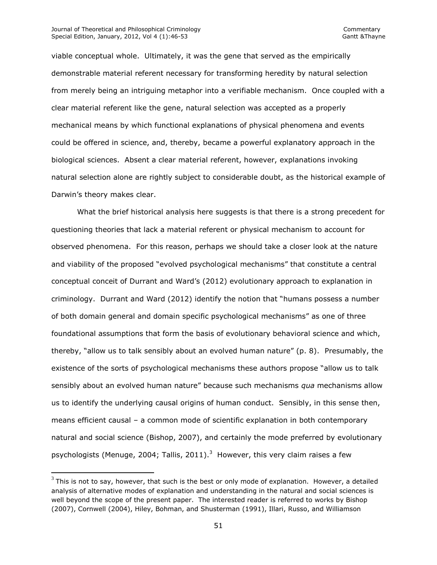#### Journal of Theoretical and Philosophical Criminology **Commentary** Commentary Special Edition, January, 2012, Vol 4 (1):46-53 Gantt & Thayne

 $\overline{\phantom{a}}$ 

viable conceptual whole. Ultimately, it was the gene that served as the empirically demonstrable material referent necessary for transforming heredity by natural selection from merely being an intriguing metaphor into a verifiable mechanism. Once coupled with a clear material referent like the gene, natural selection was accepted as a properly mechanical means by which functional explanations of physical phenomena and events could be offered in science, and, thereby, became a powerful explanatory approach in the biological sciences. Absent a clear material referent, however, explanations invoking natural selection alone are rightly subject to considerable doubt, as the historical example of Darwin's theory makes clear.

What the brief historical analysis here suggests is that there is a strong precedent for questioning theories that lack a material referent or physical mechanism to account for observed phenomena. For this reason, perhaps we should take a closer look at the nature and viability of the proposed "evolved psychological mechanisms" that constitute a central conceptual conceit of Durrant and Ward's (2012) evolutionary approach to explanation in criminology. Durrant and Ward (2012) identify the notion that "humans possess a number of both domain general and domain specific psychological mechanisms" as one of three foundational assumptions that form the basis of evolutionary behavioral science and which, thereby, "allow us to talk sensibly about an evolved human nature" (p. 8). Presumably, the existence of the sorts of psychological mechanisms these authors propose "allow us to talk sensibly about an evolved human nature" because such mechanisms *qua* mechanisms allow us to identify the underlying causal origins of human conduct. Sensibly, in this sense then, means efficient causal – a common mode of scientific explanation in both contemporary natural and social science (Bishop, 2007), and certainly the mode preferred by evolutionary psychologists (Menuge, 2004; Tallis, 2011).<sup>3</sup> However, this very claim raises a few

 $^3$  This is not to say, however, that such is the best or only mode of explanation. However, a detailed analysis of alternative modes of explanation and understanding in the natural and social sciences is well beyond the scope of the present paper. The interested reader is referred to works by Bishop (2007), Cornwell (2004), Hiley, Bohman, and Shusterman (1991), Illari, Russo, and Williamson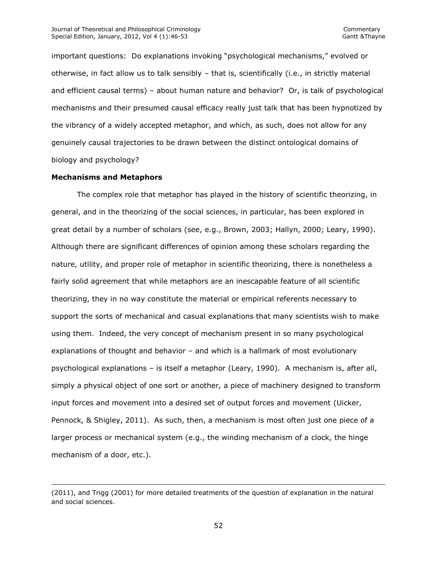important questions: Do explanations invoking "psychological mechanisms," evolved or otherwise, in fact allow us to talk sensibly – that is, scientifically (i.e., in strictly material and efficient causal terms) – about human nature and behavior? Or, is talk of psychological mechanisms and their presumed causal efficacy really just talk that has been hypnotized by the vibrancy of a widely accepted metaphor, and which, as such, does not allow for any genuinely causal trajectories to be drawn between the distinct ontological domains of biology and psychology?

### **Mechanisms and Metaphors**

 $\overline{\phantom{a}}$ 

The complex role that metaphor has played in the history of scientific theorizing, in general, and in the theorizing of the social sciences, in particular, has been explored in great detail by a number of scholars (see, e.g., Brown, 2003; Hallyn, 2000; Leary, 1990). Although there are significant differences of opinion among these scholars regarding the nature, utility, and proper role of metaphor in scientific theorizing, there is nonetheless a fairly solid agreement that while metaphors are an inescapable feature of all scientific theorizing, they in no way constitute the material or empirical referents necessary to support the sorts of mechanical and casual explanations that many scientists wish to make using them. Indeed, the very concept of mechanism present in so many psychological explanations of thought and behavior – and which is a hallmark of most evolutionary psychological explanations – is itself a metaphor (Leary, 1990). A mechanism is, after all, simply a physical object of one sort or another, a piece of machinery designed to transform input forces and movement into a desired set of output forces and movement (Uicker, Pennock, & Shigley, 2011). As such, then, a mechanism is most often just one piece of a larger process or mechanical system (e.g., the winding mechanism of a clock, the hinge mechanism of a door, etc.).

<sup>(2011),</sup> and Trigg (2001) for more detailed treatments of the question of explanation in the natural and social sciences.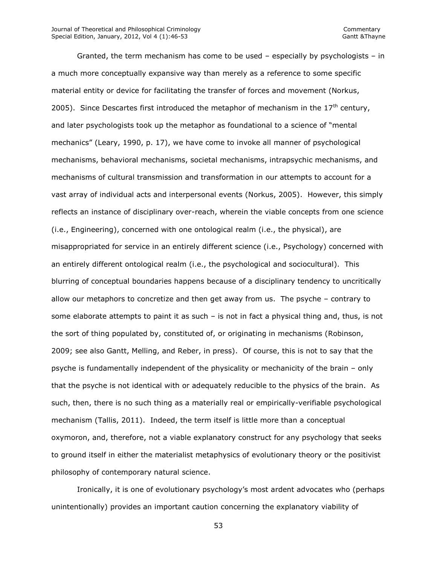Granted, the term mechanism has come to be used – especially by psychologists – in a much more conceptually expansive way than merely as a reference to some specific material entity or device for facilitating the transfer of forces and movement (Norkus, 2005). Since Descartes first introduced the metaphor of mechanism in the  $17<sup>th</sup>$  century, and later psychologists took up the metaphor as foundational to a science of "mental mechanics" (Leary, 1990, p. 17), we have come to invoke all manner of psychological mechanisms, behavioral mechanisms, societal mechanisms, intrapsychic mechanisms, and mechanisms of cultural transmission and transformation in our attempts to account for a vast array of individual acts and interpersonal events (Norkus, 2005). However, this simply reflects an instance of disciplinary over-reach, wherein the viable concepts from one science (i.e., Engineering), concerned with one ontological realm (i.e., the physical), are misappropriated for service in an entirely different science (i.e., Psychology) concerned with an entirely different ontological realm (i.e., the psychological and sociocultural). This blurring of conceptual boundaries happens because of a disciplinary tendency to uncritically allow our metaphors to concretize and then get away from us. The psyche – contrary to some elaborate attempts to paint it as such – is not in fact a physical thing and, thus, is not the sort of thing populated by, constituted of, or originating in mechanisms (Robinson, 2009; see also Gantt, Melling, and Reber, in press). Of course, this is not to say that the psyche is fundamentally independent of the physicality or mechanicity of the brain – only that the psyche is not identical with or adequately reducible to the physics of the brain. As such, then, there is no such thing as a materially real or empirically-verifiable psychological mechanism (Tallis, 2011). Indeed, the term itself is little more than a conceptual oxymoron, and, therefore, not a viable explanatory construct for any psychology that seeks to ground itself in either the materialist metaphysics of evolutionary theory or the positivist philosophy of contemporary natural science.

Ironically, it is one of evolutionary psychology's most ardent advocates who (perhaps unintentionally) provides an important caution concerning the explanatory viability of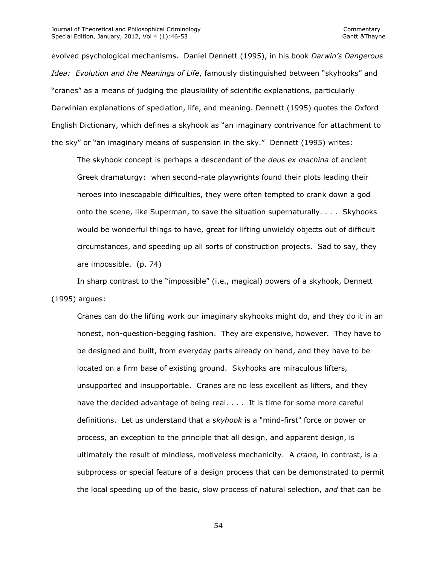evolved psychological mechanisms. Daniel Dennett (1995), in his book *Darwin's Dangerous Idea: Evolution and the Meanings of Life*, famously distinguished between "skyhooks" and "cranes" as a means of judging the plausibility of scientific explanations, particularly Darwinian explanations of speciation, life, and meaning. Dennett (1995) quotes the Oxford English Dictionary, which defines a skyhook as "an imaginary contrivance for attachment to the sky" or "an imaginary means of suspension in the sky." Dennett (1995) writes:

The skyhook concept is perhaps a descendant of the *deus ex machina* of ancient Greek dramaturgy: when second-rate playwrights found their plots leading their heroes into inescapable difficulties, they were often tempted to crank down a god onto the scene, like Superman, to save the situation supernaturally. . . . Skyhooks would be wonderful things to have, great for lifting unwieldy objects out of difficult circumstances, and speeding up all sorts of construction projects. Sad to say, they are impossible. (p. 74)

In sharp contrast to the "impossible" (i.e., magical) powers of a skyhook, Dennett (1995) argues:

Cranes can do the lifting work our imaginary skyhooks might do, and they do it in an honest, non-question-begging fashion. They are expensive, however. They have to be designed and built, from everyday parts already on hand, and they have to be located on a firm base of existing ground. Skyhooks are miraculous lifters, unsupported and insupportable. Cranes are no less excellent as lifters, and they have the decided advantage of being real. . . . It is time for some more careful definitions. Let us understand that a *skyhook* is a "mind-first" force or power or process, an exception to the principle that all design, and apparent design, is ultimately the result of mindless, motiveless mechanicity. A *crane,* in contrast, is a subprocess or special feature of a design process that can be demonstrated to permit the local speeding up of the basic, slow process of natural selection, *and* that can be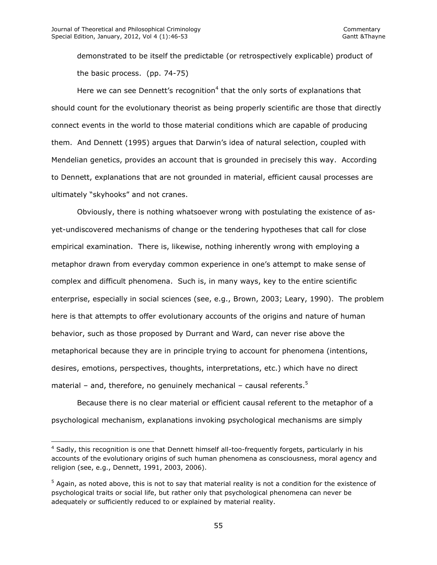$\overline{\phantom{a}}$ 

demonstrated to be itself the predictable (or retrospectively explicable) product of the basic process. (pp. 74-75)

Here we can see Dennett's recognition<sup>4</sup> that the only sorts of explanations that should count for the evolutionary theorist as being properly scientific are those that directly connect events in the world to those material conditions which are capable of producing them. And Dennett (1995) argues that Darwin's idea of natural selection, coupled with Mendelian genetics, provides an account that is grounded in precisely this way. According to Dennett, explanations that are not grounded in material, efficient causal processes are ultimately "skyhooks" and not cranes.

Obviously, there is nothing whatsoever wrong with postulating the existence of asyet-undiscovered mechanisms of change or the tendering hypotheses that call for close empirical examination. There is, likewise, nothing inherently wrong with employing a metaphor drawn from everyday common experience in one's attempt to make sense of complex and difficult phenomena. Such is, in many ways, key to the entire scientific enterprise, especially in social sciences (see, e.g., Brown, 2003; Leary, 1990). The problem here is that attempts to offer evolutionary accounts of the origins and nature of human behavior, such as those proposed by Durrant and Ward, can never rise above the metaphorical because they are in principle trying to account for phenomena (intentions, desires, emotions, perspectives, thoughts, interpretations, etc.) which have no direct material – and, therefore, no genuinely mechanical – causal referents.<sup>5</sup>

Because there is no clear material or efficient causal referent to the metaphor of a psychological mechanism, explanations invoking psychological mechanisms are simply

<sup>&</sup>lt;sup>4</sup> Sadly, this recognition is one that Dennett himself all-too-frequently forgets, particularly in his accounts of the evolutionary origins of such human phenomena as consciousness, moral agency and religion (see, e.g., Dennett, 1991, 2003, 2006).

 $5$  Again, as noted above, this is not to say that material reality is not a condition for the existence of psychological traits or social life, but rather only that psychological phenomena can never be adequately or sufficiently reduced to or explained by material reality.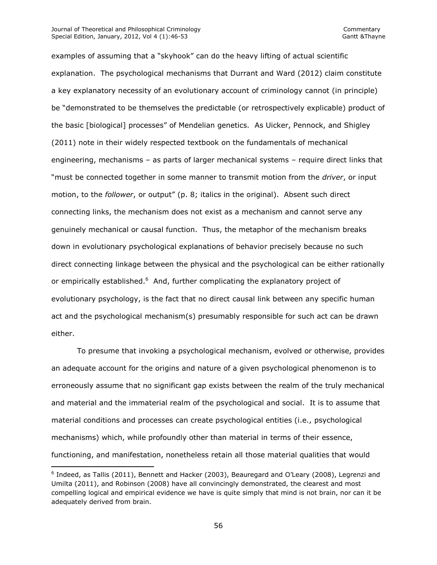#### Journal of Theoretical and Philosophical Criminology **Commentary** Commentary Special Edition, January, 2012, Vol 4 (1):46-53 Gantt & Thayne

l

examples of assuming that a "skyhook" can do the heavy lifting of actual scientific explanation. The psychological mechanisms that Durrant and Ward (2012) claim constitute a key explanatory necessity of an evolutionary account of criminology cannot (in principle) be "demonstrated to be themselves the predictable (or retrospectively explicable) product of the basic [biological] processes" of Mendelian genetics. As Uicker, Pennock, and Shigley (2011) note in their widely respected textbook on the fundamentals of mechanical engineering, mechanisms – as parts of larger mechanical systems – require direct links that "must be connected together in some manner to transmit motion from the *driver*, or input motion, to the *follower*, or output" (p. 8; italics in the original). Absent such direct connecting links, the mechanism does not exist as a mechanism and cannot serve any genuinely mechanical or causal function. Thus, the metaphor of the mechanism breaks down in evolutionary psychological explanations of behavior precisely because no such direct connecting linkage between the physical and the psychological can be either rationally or empirically established.<sup>6</sup> And, further complicating the explanatory project of evolutionary psychology, is the fact that no direct causal link between any specific human act and the psychological mechanism(s) presumably responsible for such act can be drawn either.

To presume that invoking a psychological mechanism, evolved or otherwise, provides an adequate account for the origins and nature of a given psychological phenomenon is to erroneously assume that no significant gap exists between the realm of the truly mechanical and material and the immaterial realm of the psychological and social. It is to assume that material conditions and processes can create psychological entities (i.e., psychological mechanisms) which, while profoundly other than material in terms of their essence, functioning, and manifestation, nonetheless retain all those material qualities that would

<sup>&</sup>lt;sup>6</sup> Indeed, as Tallis (2011), Bennett and Hacker (2003), Beauregard and O'Leary (2008), Legrenzi and Umilta (2011), and Robinson (2008) have all convincingly demonstrated, the clearest and most compelling logical and empirical evidence we have is quite simply that mind is not brain, nor can it be adequately derived from brain.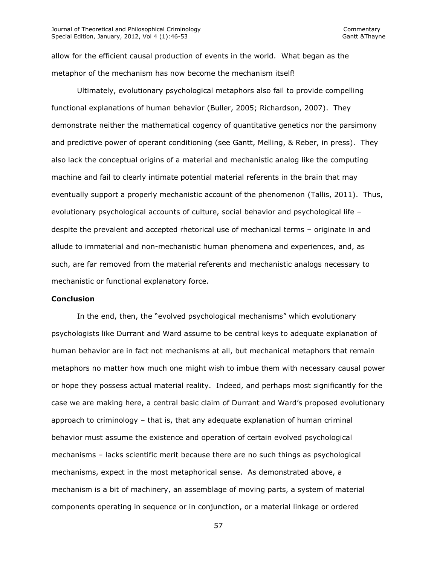allow for the efficient causal production of events in the world. What began as the metaphor of the mechanism has now become the mechanism itself!

Ultimately, evolutionary psychological metaphors also fail to provide compelling functional explanations of human behavior (Buller, 2005; Richardson, 2007). They demonstrate neither the mathematical cogency of quantitative genetics nor the parsimony and predictive power of operant conditioning (see Gantt, Melling, & Reber, in press). They also lack the conceptual origins of a material and mechanistic analog like the computing machine and fail to clearly intimate potential material referents in the brain that may eventually support a properly mechanistic account of the phenomenon (Tallis, 2011). Thus, evolutionary psychological accounts of culture, social behavior and psychological life – despite the prevalent and accepted rhetorical use of mechanical terms – originate in and allude to immaterial and non-mechanistic human phenomena and experiences, and, as such, are far removed from the material referents and mechanistic analogs necessary to mechanistic or functional explanatory force.

### **Conclusion**

In the end, then, the "evolved psychological mechanisms" which evolutionary psychologists like Durrant and Ward assume to be central keys to adequate explanation of human behavior are in fact not mechanisms at all, but mechanical metaphors that remain metaphors no matter how much one might wish to imbue them with necessary causal power or hope they possess actual material reality. Indeed, and perhaps most significantly for the case we are making here, a central basic claim of Durrant and Ward's proposed evolutionary approach to criminology – that is, that any adequate explanation of human criminal behavior must assume the existence and operation of certain evolved psychological mechanisms – lacks scientific merit because there are no such things as psychological mechanisms, expect in the most metaphorical sense. As demonstrated above, a mechanism is a bit of machinery, an assemblage of moving parts, a system of material components operating in sequence or in conjunction, or a material linkage or ordered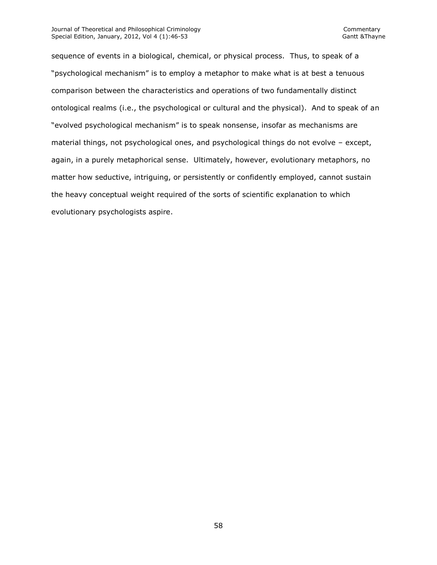sequence of events in a biological, chemical, or physical process. Thus, to speak of a "psychological mechanism" is to employ a metaphor to make what is at best a tenuous comparison between the characteristics and operations of two fundamentally distinct ontological realms (i.e., the psychological or cultural and the physical). And to speak of an "evolved psychological mechanism" is to speak nonsense, insofar as mechanisms are material things, not psychological ones, and psychological things do not evolve – except, again, in a purely metaphorical sense. Ultimately, however, evolutionary metaphors, no matter how seductive, intriguing, or persistently or confidently employed, cannot sustain the heavy conceptual weight required of the sorts of scientific explanation to which evolutionary psychologists aspire.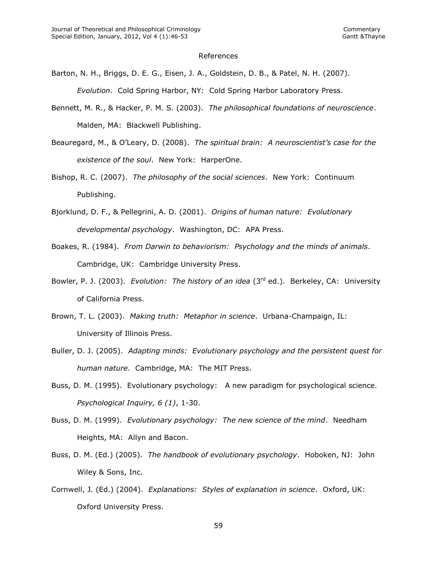#### References

- Barton, N. H., Briggs, D. E. G., Eisen, J. A., Goldstein, D. B., & Patel, N. H. (2007). *Evolution*. Cold Spring Harbor, NY: Cold Spring Harbor Laboratory Press.
- Bennett, M. R., & Hacker, P. M. S. (2003). *The philosophical foundations of neuroscience*. Malden, MA: Blackwell Publishing.
- Beauregard, M., & O'Leary, D. (2008). *The spiritual brain: A neuroscientist's case for the existence of the soul*. New York: HarperOne.
- Bishop, R. C. (2007). *The philosophy of the social sciences*. New York: Continuum Publishing.
- Bjorklund, D. F., & Pellegrini, A. D. (2001). *Origins of human nature: Evolutionary developmental psychology*. Washington, DC: APA Press.
- Boakes, R. (1984). *From Darwin to behaviorism: Psychology and the minds of animals*. Cambridge, UK: Cambridge University Press.
- Bowler, P. J. (2003). *Evolution: The history of an idea* (3rd ed.). Berkeley, CA: University of California Press.
- Brown, T. L. (2003). *Making truth: Metaphor in science*. Urbana-Champaign, IL: University of Illinois Press.
- Buller, D. J. (2005). *Adapting minds: Evolutionary psychology and the persistent quest for human nature*. Cambridge, MA: The MIT Press.
- Buss, D. M. (1995). Evolutionary psychology: A new paradigm for psychological science. *Psychological Inquiry, 6 (1)*, 1-30.
- Buss, D. M. (1999). *Evolutionary psychology: The new science of the mind*. Needham Heights, MA: Allyn and Bacon.
- Buss, D. M. (Ed.) (2005). *The handbook of evolutionary psychology*. Hoboken, NJ: John Wiley & Sons, Inc.
- Cornwell, J. (Ed.) (2004). *Explanations: Styles of explanation in science*. Oxford, UK: Oxford University Press.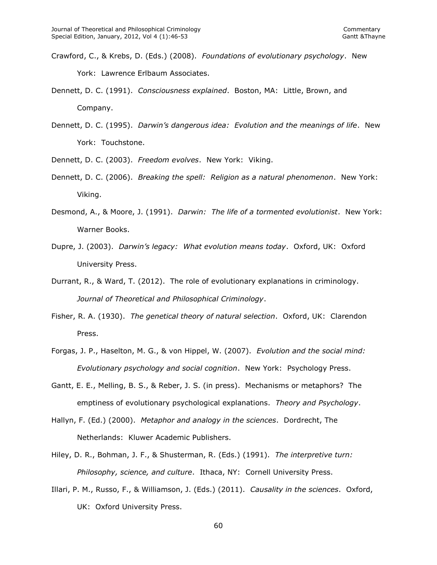- Crawford, C., & Krebs, D. (Eds.) (2008). *Foundations of evolutionary psychology*. New York: Lawrence Erlbaum Associates.
- Dennett, D. C. (1991). *Consciousness explained*. Boston, MA: Little, Brown, and Company.
- Dennett, D. C. (1995). *Darwin's dangerous idea: Evolution and the meanings of life*. New York: Touchstone.
- Dennett, D. C. (2003). *Freedom evolves*. New York: Viking.
- Dennett, D. C. (2006). *Breaking the spell: Religion as a natural phenomenon*. New York: Viking.
- Desmond, A., & Moore, J. (1991). *Darwin: The life of a tormented evolutionist*. New York: Warner Books.
- Dupre, J. (2003). *Darwin's legacy: What evolution means today*. Oxford, UK: Oxford University Press.
- Durrant, R., & Ward, T. (2012). The role of evolutionary explanations in criminology. *Journal of Theoretical and Philosophical Criminology*.
- Fisher, R. A. (1930). *The genetical theory of natural selection*. Oxford, UK: Clarendon Press.
- Forgas, J. P., Haselton, M. G., & von Hippel, W. (2007). *Evolution and the social mind: Evolutionary psychology and social cognition*. New York: Psychology Press.
- Gantt, E. E., Melling, B. S., & Reber, J. S. (in press). Mechanisms or metaphors? The emptiness of evolutionary psychological explanations. *Theory and Psychology*.
- Hallyn, F. (Ed.) (2000). *Metaphor and analogy in the sciences*. Dordrecht, The Netherlands: Kluwer Academic Publishers.
- Hiley, D. R., Bohman, J. F., & Shusterman, R. (Eds.) (1991). *The interpretive turn: Philosophy, science, and culture*. Ithaca, NY: Cornell University Press.
- Illari, P. M., Russo, F., & Williamson, J. (Eds.) (2011). *Causality in the sciences*. Oxford, UK: Oxford University Press.